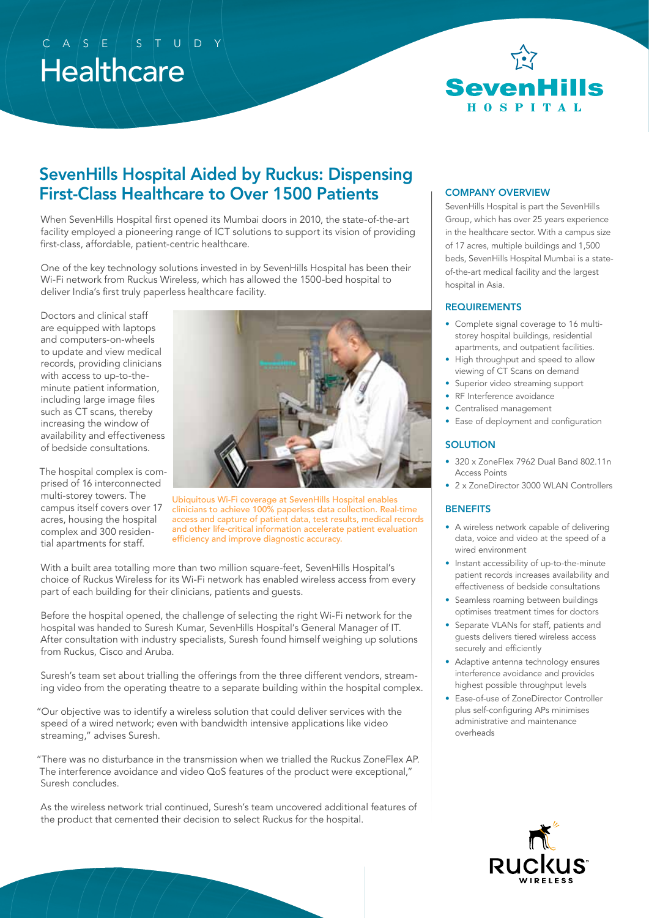# **Healthcare**  $C$  ASE ST UDY



## SevenHills Hospital Aided by Ruckus: Dispensing First-Class Healthcare to Over 1500 Patients

When SevenHills Hospital first opened its Mumbai doors in 2010, the state-of-the-art facility employed a pioneering range of ICT solutions to support its vision of providing first-class, affordable, patient-centric healthcare.

One of the key technology solutions invested in by SevenHills Hospital has been their Wi-Fi network from Ruckus Wireless, which has allowed the 1500-bed hospital to deliver India's first truly paperless healthcare facility.

Doctors and clinical staff are equipped with laptops and computers-on-wheels to update and view medical records, providing clinicians with access to up-to-theminute patient information, including large image files such as CT scans, thereby increasing the window of availability and effectiveness of bedside consultations.

The hospital complex is comprised of 16 interconnected multi-storey towers. The campus itself covers over 17 acres, housing the hospital complex and 300 residential apartments for staff.



Ubiquitous Wi-Fi coverage at SevenHills Hospital enables clinicians to achieve 100% paperless data collection. Real-time access and capture of patient data, test results, medical records and other life-critical information accelerate patient evaluation efficiency and improve diagnostic accuracy.

With a built area totalling more than two million square-feet, SevenHills Hospital's choice of Ruckus Wireless for its Wi-Fi network has enabled wireless access from every part of each building for their clinicians, patients and guests.

Before the hospital opened, the challenge of selecting the right Wi-Fi network for the hospital was handed to Suresh Kumar, SevenHills Hospital's General Manager of IT. After consultation with industry specialists, Suresh found himself weighing up solutions from Ruckus, Cisco and Aruba.

Suresh's team set about trialling the offerings from the three different vendors, streaming video from the operating theatre to a separate building within the hospital complex.

"Our objective was to identify a wireless solution that could deliver services with the speed of a wired network; even with bandwidth intensive applications like video streaming," advises Suresh.

"There was no disturbance in the transmission when we trialled the Ruckus ZoneFlex AP. The interference avoidance and video QoS features of the product were exceptional," Suresh concludes.

As the wireless network trial continued, Suresh's team uncovered additional features of the product that cemented their decision to select Ruckus for the hospital.

#### COMPANY OVERVIEW

SevenHills Hospital is part the SevenHills Group, which has over 25 years experience in the healthcare sector. With a campus size of 17 acres, multiple buildings and 1,500 beds, SevenHills Hospital Mumbai is a stateof-the-art medical facility and the largest hospital in Asia.

#### REQUIREMENTS

- Complete signal coverage to 16 multistorey hospital buildings, residential apartments, and outpatient facilities.
- High throughput and speed to allow viewing of CT Scans on demand
- Superior video streaming support
- RF Interference avoidance
- Centralised management
- Ease of deployment and configuration

#### **SOLUTION**

- 320 x ZoneFlex 7962 Dual Band 802.11n Access Points
- 2 x ZoneDirector 3000 WLAN Controllers

#### **BENEFITS**

- A wireless network capable of delivering data, voice and video at the speed of a wired environment
- Instant accessibility of up-to-the-minute patient records increases availability and effectiveness of bedside consultations
- Seamless roaming between buildings optimises treatment times for doctors
- Separate VLANs for staff, patients and guests delivers tiered wireless access securely and efficiently
- Adaptive antenna technology ensures interference avoidance and provides highest possible throughput levels
- Ease-of-use of ZoneDirector Controller plus self-configuring APs minimises administrative and maintenance overheads